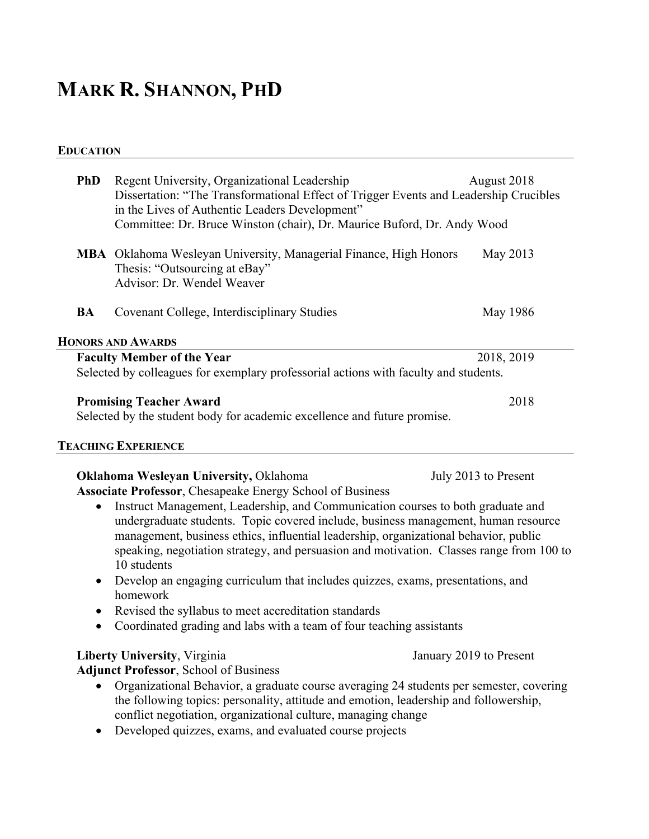# **MARK R. SHANNON, PHD**

# **EDUCATION**

| <b>PhD</b> | Regent University, Organizational Leadership<br>Dissertation: "The Transformational Effect of Trigger Events and Leadership Crucibles<br>in the Lives of Authentic Leaders Development"                                                                                                                                                                                                                                                                                                                                                                            | August 2018             |  |
|------------|--------------------------------------------------------------------------------------------------------------------------------------------------------------------------------------------------------------------------------------------------------------------------------------------------------------------------------------------------------------------------------------------------------------------------------------------------------------------------------------------------------------------------------------------------------------------|-------------------------|--|
|            | Committee: Dr. Bruce Winston (chair), Dr. Maurice Buford, Dr. Andy Wood                                                                                                                                                                                                                                                                                                                                                                                                                                                                                            |                         |  |
|            | <b>MBA</b> Oklahoma Wesleyan University, Managerial Finance, High Honors<br>Thesis: "Outsourcing at eBay"<br>Advisor: Dr. Wendel Weaver                                                                                                                                                                                                                                                                                                                                                                                                                            | May 2013                |  |
| BA         | Covenant College, Interdisciplinary Studies                                                                                                                                                                                                                                                                                                                                                                                                                                                                                                                        | May 1986                |  |
|            | <b>HONORS AND AWARDS</b>                                                                                                                                                                                                                                                                                                                                                                                                                                                                                                                                           |                         |  |
|            | <b>Faculty Member of the Year</b><br>Selected by colleagues for exemplary professorial actions with faculty and students.                                                                                                                                                                                                                                                                                                                                                                                                                                          | 2018, 2019              |  |
|            | <b>Promising Teacher Award</b><br>Selected by the student body for academic excellence and future promise.                                                                                                                                                                                                                                                                                                                                                                                                                                                         | 2018                    |  |
|            | <b>TEACHING EXPERIENCE</b>                                                                                                                                                                                                                                                                                                                                                                                                                                                                                                                                         |                         |  |
| $\bullet$  | Oklahoma Wesleyan University, Oklahoma<br>Associate Professor, Chesapeake Energy School of Business<br>Instruct Management, Leadership, and Communication courses to both graduate and<br>undergraduate students. Topic covered include, business management, human resource<br>management, business ethics, influential leadership, organizational behavior, public<br>speaking, negotiation strategy, and persuasion and motivation. Classes range from 100 to<br>10 students<br>Develop an engaging curriculum that includes quizzes, exams, presentations, and | July 2013 to Present    |  |
|            | homework                                                                                                                                                                                                                                                                                                                                                                                                                                                                                                                                                           |                         |  |
| $\bullet$  | Revised the syllabus to meet accreditation standards<br>Coordinated grading and labs with a team of four teaching assistants                                                                                                                                                                                                                                                                                                                                                                                                                                       |                         |  |
|            | <b>Liberty University, Virginia</b><br><b>Adjunct Professor</b> , School of Business                                                                                                                                                                                                                                                                                                                                                                                                                                                                               | January 2019 to Present |  |
|            | Organizational Behavior, a graduate course averaging 24 students per semester, covering<br>the following topics: personality, attitude and emotion, leadership and followership,<br>conflict negotiation, organizational culture, managing change<br>Developed quizzes, exams, and evaluated course projects                                                                                                                                                                                                                                                       |                         |  |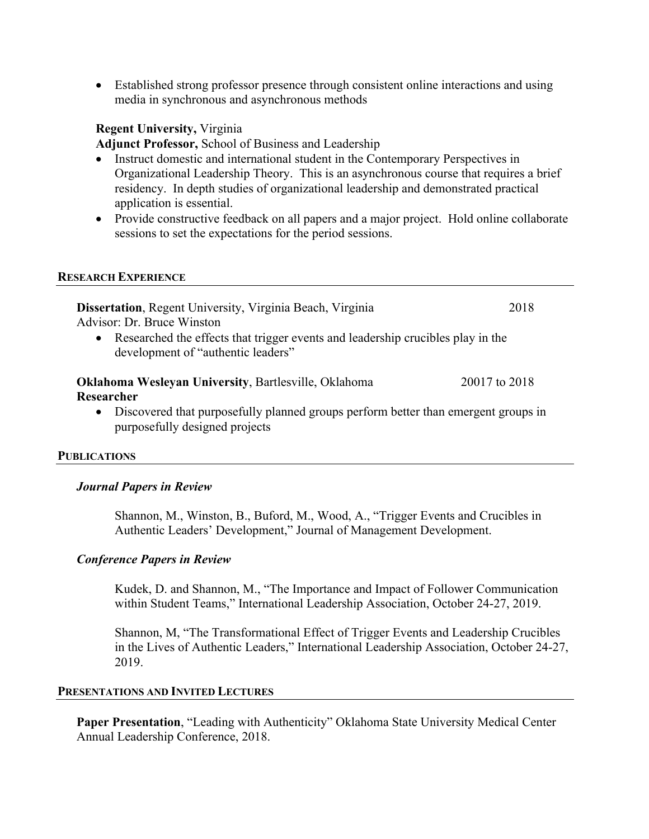• Established strong professor presence through consistent online interactions and using media in synchronous and asynchronous methods

# **Regent University,** Virginia

**Adjunct Professor,** School of Business and Leadership

- Instruct domestic and international student in the Contemporary Perspectives in Organizational Leadership Theory. This is an asynchronous course that requires a brief residency. In depth studies of organizational leadership and demonstrated practical application is essential.
- Provide constructive feedback on all papers and a major project. Hold online collaborate sessions to set the expectations for the period sessions.

## **RESEARCH EXPERIENCE**

| Dissertation, Regent University, Virginia Beach, Virginia<br>Advisor: Dr. Bruce Winston                                                                                   | 2018 |  |  |
|---------------------------------------------------------------------------------------------------------------------------------------------------------------------------|------|--|--|
| Researched the effects that trigger events and leadership crucibles play in the<br>$\bullet$<br>development of "authentic leaders"                                        |      |  |  |
| Oklahoma Wesleyan University, Bartlesville, Oklahoma<br>20017 to 2018<br>Researcher<br>Discovered that purposefully planned groups perform better than emergent groups in |      |  |  |
| ٠<br>purposefully designed projects                                                                                                                                       |      |  |  |

## **PUBLICATIONS**

## *Journal Papers in Review*

Shannon, M., Winston, B., Buford, M., Wood, A., "Trigger Events and Crucibles in Authentic Leaders' Development," Journal of Management Development.

## *Conference Papers in Review*

Kudek, D. and Shannon, M., "The Importance and Impact of Follower Communication within Student Teams," International Leadership Association, October 24-27, 2019.

Shannon, M, "The Transformational Effect of Trigger Events and Leadership Crucibles in the Lives of Authentic Leaders," International Leadership Association, October 24-27, 2019.

# **PRESENTATIONS AND INVITED LECTURES**

**Paper Presentation**, "Leading with Authenticity" Oklahoma State University Medical Center Annual Leadership Conference, 2018.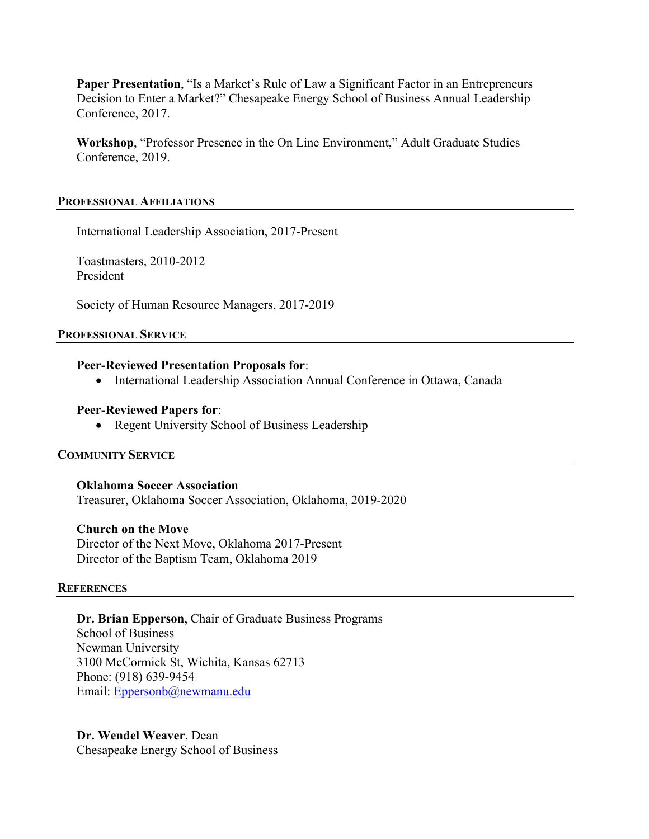**Paper Presentation**, "Is a Market's Rule of Law a Significant Factor in an Entrepreneurs Decision to Enter a Market?" Chesapeake Energy School of Business Annual Leadership Conference, 2017.

**Workshop**, "Professor Presence in the On Line Environment," Adult Graduate Studies Conference, 2019.

#### **PROFESSIONAL AFFILIATIONS**

International Leadership Association, 2017-Present

Toastmasters, 2010-2012 President

Society of Human Resource Managers, 2017-2019

#### **PROFESSIONAL SERVICE**

## **Peer-Reviewed Presentation Proposals for**:

• International Leadership Association Annual Conference in Ottawa, Canada

## **Peer-Reviewed Papers for**:

• Regent University School of Business Leadership

## **COMMUNITY SERVICE**

**Oklahoma Soccer Association** Treasurer, Oklahoma Soccer Association, Oklahoma, 2019-2020

## **Church on the Move**

Director of the Next Move, Oklahoma 2017-Present Director of the Baptism Team, Oklahoma 2019

## **REFERENCES**

**Dr. Brian Epperson**, Chair of Graduate Business Programs School of Business Newman University 3100 McCormick St, Wichita, Kansas 62713 Phone: (918) 639-9454 Email: Eppersonb@newmanu.edu

**Dr. Wendel Weaver**, Dean Chesapeake Energy School of Business